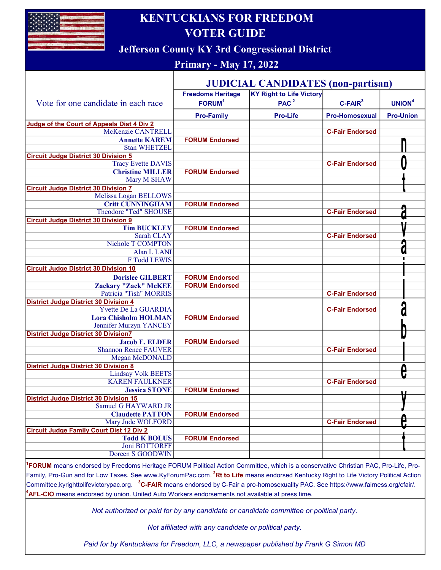

## KENTUCKIANS FOR FREEDOM VOTER GUIDE

Jefferson County KY 3rd Congressional District

## Primary - May 17, 2022

|                                                 | <b>JUDICIAL CANDIDATES (non-partisan)</b>      |                                                     |                        |                    |  |
|-------------------------------------------------|------------------------------------------------|-----------------------------------------------------|------------------------|--------------------|--|
| Vote for one candidate in each race             | <b>Freedoms Heritage</b><br>FORUM <sup>1</sup> | <b>KY Right to Life Victory</b><br>PAC <sup>2</sup> | $C$ -FAIR $3$          | UNION <sup>4</sup> |  |
|                                                 | <b>Pro-Family</b>                              | <b>Pro-Life</b>                                     | <b>Pro-Homosexual</b>  | <b>Pro-Union</b>   |  |
| Judge of the Court of Appeals Dist 4 Div 2      |                                                |                                                     |                        |                    |  |
| McKenzie CANTRELL                               |                                                |                                                     | <b>C-Fair Endorsed</b> |                    |  |
| <b>Annette KAREM</b>                            | <b>FORUM Endorsed</b>                          |                                                     |                        |                    |  |
| <b>Stan WHETZEL</b>                             |                                                |                                                     |                        |                    |  |
| <b>Circuit Judge District 30 Division 5</b>     |                                                |                                                     |                        |                    |  |
| <b>Tracy Evette DAVIS</b>                       |                                                |                                                     | <b>C-Fair Endorsed</b> |                    |  |
| <b>Christine MILLER</b>                         | <b>FORUM Endorsed</b>                          |                                                     |                        |                    |  |
| Mary M SHAW                                     |                                                |                                                     |                        |                    |  |
| <b>Circuit Judge District 30 Division 7</b>     |                                                |                                                     |                        |                    |  |
| Melissa Logan BELLOWS                           |                                                |                                                     |                        |                    |  |
| <b>Critt CUNNINGHAM</b>                         | <b>FORUM Endorsed</b>                          |                                                     |                        |                    |  |
| Theodore "Ted" SHOUSE                           |                                                |                                                     | <b>C-Fair Endorsed</b> |                    |  |
| <b>Circuit Judge District 30 Division 9</b>     |                                                |                                                     |                        |                    |  |
| <b>Tim BUCKLEY</b>                              | <b>FORUM Endorsed</b>                          |                                                     |                        |                    |  |
| Sarah CLAY                                      |                                                |                                                     | <b>C-Fair Endorsed</b> |                    |  |
| <b>Nichole T COMPTON</b>                        |                                                |                                                     |                        |                    |  |
| Alan L LANI                                     |                                                |                                                     |                        |                    |  |
| F Todd LEWIS                                    |                                                |                                                     |                        |                    |  |
| <b>Circuit Judge District 30 Division 10</b>    |                                                |                                                     |                        |                    |  |
| <b>Dorislee GILBERT</b>                         | <b>FORUM Endorsed</b>                          |                                                     |                        |                    |  |
| <b>Zackary "Zack" McKEE</b>                     | <b>FORUM Endorsed</b>                          |                                                     |                        |                    |  |
| Patricia "Tish" MORRIS                          |                                                |                                                     | <b>C-Fair Endorsed</b> |                    |  |
| <b>District Judge District 30 Division 4</b>    |                                                |                                                     |                        |                    |  |
| Yvette De La GUARDIA                            |                                                |                                                     | <b>C-Fair Endorsed</b> | г                  |  |
| <b>Lora Chisholm HOLMAN</b>                     | <b>FORUM Endorsed</b>                          |                                                     |                        |                    |  |
| Jennifer Murzyn YANCEY                          |                                                |                                                     |                        |                    |  |
| <b>District Judge District 30 Division7</b>     |                                                |                                                     |                        |                    |  |
| <b>Jacob E. ELDER</b>                           | <b>FORUM Endorsed</b>                          |                                                     |                        |                    |  |
| <b>Shannon Renee FAUVER</b>                     |                                                |                                                     | <b>C-Fair Endorsed</b> |                    |  |
| Megan McDONALD                                  |                                                |                                                     |                        |                    |  |
| <b>District Judge District 30 Division 8</b>    |                                                |                                                     |                        | Δ                  |  |
| <b>Lindsay Volk BEETS</b>                       |                                                |                                                     |                        |                    |  |
| <b>KAREN FAULKNER</b>                           |                                                |                                                     | <b>C-Fair Endorsed</b> |                    |  |
| <b>Jessica STONE</b>                            | <b>FORUM Endorsed</b>                          |                                                     |                        |                    |  |
| <b>District Judge District 30 Division 15</b>   |                                                |                                                     |                        | ₩                  |  |
| Samuel G HAYWARD JR                             |                                                |                                                     |                        |                    |  |
| <b>Claudette PATTON</b>                         | <b>FORUM Endorsed</b>                          |                                                     |                        |                    |  |
| <b>Mary Jude WOLFORD</b>                        |                                                |                                                     | <b>C-Fair Endorsed</b> |                    |  |
| <b>Circuit Judge Family Court Dist 12 Div 2</b> |                                                |                                                     |                        |                    |  |
| <b>Todd K BOLUS</b>                             | <b>FORUM Endorsed</b>                          |                                                     |                        |                    |  |
| <b>Joni BOTTORFF</b>                            |                                                |                                                     |                        |                    |  |
| Doreen S GOODWIN                                |                                                |                                                     |                        |                    |  |
|                                                 |                                                |                                                     |                        |                    |  |

<sup>1</sup>FORUM means endorsed by Freedoms Heritage FORUM Political Action Committee, which is a conservative Christian PAC, Pro-Life, Pro-Family, Pro-Gun and for Low Taxes. See www.KyForumPac.com. <sup>2</sup>Rt to Life means endorsed Kentucky Right to Life Victory Political Action Committee,kyrighttolifevictorypac.org. <sup>3</sup>C-FAIR means endorsed by C-Fair a pro-homosexuality PAC. See https://www.fairness.org/cfair/. <sup>4</sup>AFL-CIO means endorsed by union. United Auto Workers endorsements not available at press time.

Not authorized or paid for by any candidate or candidate committee or political party.

Not affiliated with any candidate or political party.

Paid for by Kentuckians for Freedom, LLC, a newspaper published by Frank G Simon MD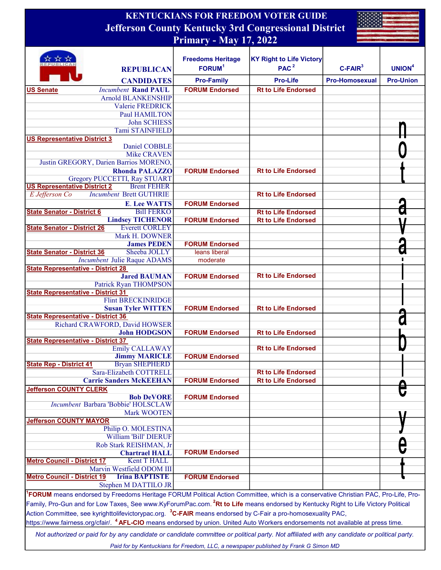| <b>KENTUCKIANS FOR FREEDOM VOTER GUIDE</b>                                                                                                                                                                                                                               |                                                          |                                                      |                                                     |                        |                          |  |  |  |
|--------------------------------------------------------------------------------------------------------------------------------------------------------------------------------------------------------------------------------------------------------------------------|----------------------------------------------------------|------------------------------------------------------|-----------------------------------------------------|------------------------|--------------------------|--|--|--|
| <b>Jefferson County Kentucky 3rd Congressional District</b>                                                                                                                                                                                                              |                                                          |                                                      |                                                     |                        |                          |  |  |  |
| <b>Primary - May 17, 2022</b>                                                                                                                                                                                                                                            |                                                          |                                                      |                                                     |                        |                          |  |  |  |
|                                                                                                                                                                                                                                                                          |                                                          |                                                      |                                                     |                        |                          |  |  |  |
|                                                                                                                                                                                                                                                                          |                                                          | <b>Freedoms Heritage</b><br><b>FORUM<sup>1</sup></b> | <b>KY Right to Life Victory</b><br>PAC <sup>2</sup> |                        |                          |  |  |  |
|                                                                                                                                                                                                                                                                          | <b>REPUBLICAN</b>                                        |                                                      |                                                     | $C$ -FAIR <sup>3</sup> | <b>UNION<sup>4</sup></b> |  |  |  |
|                                                                                                                                                                                                                                                                          | <b>CANDIDATES</b>                                        | <b>Pro-Family</b>                                    | <b>Pro-Life</b>                                     | <b>Pro-Homosexual</b>  | <b>Pro-Union</b>         |  |  |  |
| <b>US Senate</b>                                                                                                                                                                                                                                                         | <b>Incumbent Rand PAUL</b>                               | <b>FORUM Endorsed</b>                                | <b>Rt to Life Endorsed</b>                          |                        |                          |  |  |  |
|                                                                                                                                                                                                                                                                          | <b>Arnold BLANKENSHIP</b><br>Valerie FREDRICK            |                                                      |                                                     |                        |                          |  |  |  |
|                                                                                                                                                                                                                                                                          | Paul HAMILTON                                            |                                                      |                                                     |                        |                          |  |  |  |
|                                                                                                                                                                                                                                                                          | <b>John SCHIESS</b>                                      |                                                      |                                                     |                        |                          |  |  |  |
|                                                                                                                                                                                                                                                                          | <b>Tami STAINFIELD</b>                                   |                                                      |                                                     |                        |                          |  |  |  |
| <b>US Representative District 3</b>                                                                                                                                                                                                                                      |                                                          |                                                      |                                                     |                        |                          |  |  |  |
|                                                                                                                                                                                                                                                                          | Daniel COBBLE                                            |                                                      |                                                     |                        |                          |  |  |  |
|                                                                                                                                                                                                                                                                          | <b>Mike CRAVEN</b>                                       |                                                      |                                                     |                        |                          |  |  |  |
|                                                                                                                                                                                                                                                                          | Justin GREGORY, Darien Barrios MORENO,                   |                                                      |                                                     |                        |                          |  |  |  |
|                                                                                                                                                                                                                                                                          | <b>Rhonda PALAZZO</b>                                    | <b>FORUM Endorsed</b>                                | <b>Rt to Life Endorsed</b>                          |                        |                          |  |  |  |
|                                                                                                                                                                                                                                                                          | <b>Gregory PUCCETTI, Ray STUART</b>                      |                                                      |                                                     |                        |                          |  |  |  |
| <b>US Representative District 2</b>                                                                                                                                                                                                                                      | <b>Brent FEHER</b>                                       |                                                      | <b>Rt to Life Endorsed</b>                          |                        |                          |  |  |  |
| E Jefferson Co                                                                                                                                                                                                                                                           | <b>Incumbent Brett GUTHRIE</b>                           |                                                      |                                                     |                        |                          |  |  |  |
|                                                                                                                                                                                                                                                                          | <b>E. Lee WATTS</b><br><b>Bill FERKO</b>                 | <b>FORUM Endorsed</b>                                | <b>Rt to Life Endorsed</b>                          |                        | Ó                        |  |  |  |
| <b>State Senator - District 6</b>                                                                                                                                                                                                                                        | <b>Lindsey TICHENOR</b>                                  | <b>FORUM Endorsed</b>                                | <b>Rt to Life Endorsed</b>                          |                        |                          |  |  |  |
| <b>State Senator - District 26</b>                                                                                                                                                                                                                                       | <b>Everett CORLEY</b>                                    |                                                      |                                                     |                        |                          |  |  |  |
|                                                                                                                                                                                                                                                                          | Mark H. DOWNER                                           |                                                      |                                                     |                        |                          |  |  |  |
|                                                                                                                                                                                                                                                                          | <b>James PEDEN</b>                                       | <b>FORUM Endorsed</b>                                |                                                     |                        |                          |  |  |  |
| <b>State Senator - District 36</b>                                                                                                                                                                                                                                       | Sheeba JOLLY                                             | leans liberal                                        |                                                     |                        |                          |  |  |  |
|                                                                                                                                                                                                                                                                          | <b>Incumbent Julie Raque ADAMS</b>                       | moderate                                             |                                                     |                        |                          |  |  |  |
|                                                                                                                                                                                                                                                                          | <b>State Representative - District 28</b>                |                                                      |                                                     |                        |                          |  |  |  |
|                                                                                                                                                                                                                                                                          | <b>Jared BAUMAN</b>                                      | <b>FORUM Endorsed</b>                                | <b>Rt to Life Endorsed</b>                          |                        |                          |  |  |  |
|                                                                                                                                                                                                                                                                          | <b>Patrick Ryan THOMPSON</b>                             |                                                      |                                                     |                        |                          |  |  |  |
|                                                                                                                                                                                                                                                                          | <b>State Representative - District 31</b>                |                                                      |                                                     |                        |                          |  |  |  |
|                                                                                                                                                                                                                                                                          | <b>Flint BRECKINRIDGE</b><br><b>Susan Tyler WITTEN</b>   | <b>FORUM Endorsed</b>                                | <b>Rt to Life Endorsed</b>                          |                        |                          |  |  |  |
|                                                                                                                                                                                                                                                                          | <b>State Representative - District 36</b>                |                                                      |                                                     |                        |                          |  |  |  |
|                                                                                                                                                                                                                                                                          | Richard CRAWFORD, David HOWSER                           |                                                      |                                                     |                        |                          |  |  |  |
|                                                                                                                                                                                                                                                                          | <b>John HODGSON</b>                                      | <b>FORUM Endorsed</b>                                | <b>Rt to Life Endorsed</b>                          |                        |                          |  |  |  |
|                                                                                                                                                                                                                                                                          | <b>State Representative - District 37</b>                |                                                      |                                                     |                        |                          |  |  |  |
|                                                                                                                                                                                                                                                                          | <b>Emily CALLAWAY</b>                                    |                                                      | <b>Rt to Life Endorsed</b>                          |                        |                          |  |  |  |
|                                                                                                                                                                                                                                                                          | <b>Jimmy MARICLE</b>                                     | <b>FORUM Endorsed</b>                                |                                                     |                        |                          |  |  |  |
| <b>State Rep - District 41</b>                                                                                                                                                                                                                                           | <b>Bryan SHEPHERD</b>                                    |                                                      |                                                     |                        |                          |  |  |  |
|                                                                                                                                                                                                                                                                          | Sara-Elizabeth COTTRELL                                  |                                                      | <b>Rt to Life Endorsed</b>                          |                        |                          |  |  |  |
|                                                                                                                                                                                                                                                                          | <b>Carrie Sanders McKEEHAN</b>                           | <b>FORUM Endorsed</b>                                | <b>Rt to Life Endorsed</b>                          |                        |                          |  |  |  |
| <b>Jefferson COUNTY CLERK</b>                                                                                                                                                                                                                                            |                                                          |                                                      |                                                     |                        |                          |  |  |  |
|                                                                                                                                                                                                                                                                          | <b>Bob DeVORE</b><br>Incumbent Barbara 'Bobbie' HOLSCLAW | <b>FORUM Endorsed</b>                                |                                                     |                        |                          |  |  |  |
|                                                                                                                                                                                                                                                                          | <b>Mark WOOTEN</b>                                       |                                                      |                                                     |                        |                          |  |  |  |
| <b>Jefferson COUNTY MAYOR</b>                                                                                                                                                                                                                                            |                                                          |                                                      |                                                     |                        |                          |  |  |  |
|                                                                                                                                                                                                                                                                          | Philip O. MOLESTINA                                      |                                                      |                                                     |                        |                          |  |  |  |
|                                                                                                                                                                                                                                                                          | <b>William 'Bill' DIERUF</b>                             |                                                      |                                                     |                        |                          |  |  |  |
|                                                                                                                                                                                                                                                                          | Rob Stark REISHMAN, Jr                                   |                                                      |                                                     |                        |                          |  |  |  |
|                                                                                                                                                                                                                                                                          | <b>Chartrael HALL</b>                                    | <b>FORUM Endorsed</b>                                |                                                     |                        |                          |  |  |  |
| <b>Metro Council - District 17</b>                                                                                                                                                                                                                                       | <b>Kent T HALL</b>                                       |                                                      |                                                     |                        |                          |  |  |  |
|                                                                                                                                                                                                                                                                          | Marvin Westfield ODOM III                                |                                                      |                                                     |                        |                          |  |  |  |
| <b>Metro Council - District 19</b>                                                                                                                                                                                                                                       | <b>Irina BAPTISTE</b>                                    | <b>FORUM Endorsed</b>                                |                                                     |                        |                          |  |  |  |
| <b>Stephen M DATTILO JR</b><br><sup>1</sup> FORUM means endorsed by Freedoms Heritage FORUM Political Action Committee, which is a conservative Christian PAC, Pro-Life, Pro-                                                                                            |                                                          |                                                      |                                                     |                        |                          |  |  |  |
|                                                                                                                                                                                                                                                                          |                                                          |                                                      |                                                     |                        |                          |  |  |  |
| Family, Pro-Gun and for Low Taxes <u>.</u> See www.KyForumPac.com. <sup>2</sup> Rt to Life means endorsed by Kentucky Right to Life Victory Political                                                                                                                    |                                                          |                                                      |                                                     |                        |                          |  |  |  |
| Action Committee, see kyrighttolifevictorypac.org. <sup>3</sup> C-FAIR means endorsed by C-Fair a pro-homosexuality PAC,<br>https://www.fairness.org/cfair/. <sup>4</sup> AFL-CIO means endorsed by union. United Auto Workers endorsements not available at press time. |                                                          |                                                      |                                                     |                        |                          |  |  |  |
|                                                                                                                                                                                                                                                                          |                                                          |                                                      |                                                     |                        |                          |  |  |  |
| Not authorized or paid for by any candidate or candidate committee or political party. Not affiliated with any candidate or political party.                                                                                                                             |                                                          |                                                      |                                                     |                        |                          |  |  |  |

Paid for by Kentuckians for Freedom, LLC, a newspaper published by Frank G Simon MD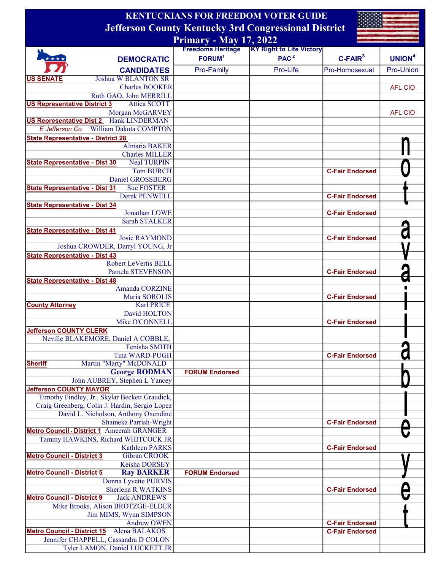|                                                                                        | <b>KENTUCKIANS FOR FREEDOM VOTER GUIDE</b>                  |                                                   |                        |                          |
|----------------------------------------------------------------------------------------|-------------------------------------------------------------|---------------------------------------------------|------------------------|--------------------------|
|                                                                                        | <b>Jefferson County Kentucky 3rd Congressional District</b> |                                                   |                        |                          |
|                                                                                        | <b>Primary - May 17, 2022</b>                               |                                                   |                        |                          |
|                                                                                        |                                                             | <b>Freedoms Heritage KY Right to Life Victory</b> |                        |                          |
| <b>DEMOCRATIC</b>                                                                      | <b>FORUM<sup>1</sup></b>                                    | PAC <sup>2</sup>                                  | $C$ -FAIR $3$          | <b>UNION<sup>4</sup></b> |
| <b>CANDIDATES</b>                                                                      | Pro-Family                                                  | Pro-Life                                          | Pro-Homosexual         | <b>Pro-Union</b>         |
| <b>Joshua W BLANTON SR</b><br><b>US SENATE</b>                                         |                                                             |                                                   |                        |                          |
| <b>Charles BOOKER</b>                                                                  |                                                             |                                                   |                        | <b>AFL CIO</b>           |
| Ruth GAO, John MERRILL                                                                 |                                                             |                                                   |                        |                          |
| <b>US Representative District 3</b><br><b>Attica SCOTT</b>                             |                                                             |                                                   |                        |                          |
| Morgan McGARVEY<br><b>US Representative Dist 2</b><br><b>Hank LINDERMAN</b>            |                                                             |                                                   |                        | <b>AFL CIO</b>           |
| William Dakota COMPTON<br>E Jefferson Co                                               |                                                             |                                                   |                        |                          |
| <b>State Representative - District 28</b>                                              |                                                             |                                                   |                        |                          |
| <b>Almaria BAKER</b>                                                                   |                                                             |                                                   |                        |                          |
| <b>Charles MILLER</b>                                                                  |                                                             |                                                   |                        |                          |
| <b>State Representative - Dist 30</b><br><b>Neal TURPIN</b>                            |                                                             |                                                   |                        |                          |
| <b>Tom BURCH</b>                                                                       |                                                             |                                                   | <b>C-Fair Endorsed</b> |                          |
| <b>Daniel GROSSBERG</b>                                                                |                                                             |                                                   |                        |                          |
| <b>State Representative - Dist 31</b><br><b>Sue FOSTER</b><br><b>Derek PENWELL</b>     |                                                             |                                                   | <b>C-Fair Endorsed</b> |                          |
| <b>State Representative - Dist 34</b>                                                  |                                                             |                                                   |                        |                          |
| Jonathan LOWE                                                                          |                                                             |                                                   | <b>C-Fair Endorsed</b> |                          |
| <b>Sarah STALKER</b>                                                                   |                                                             |                                                   |                        |                          |
| <b>State Representative - Dist 41</b>                                                  |                                                             |                                                   |                        |                          |
| <b>Josie RAYMOND</b>                                                                   |                                                             |                                                   | <b>C-Fair Endorsed</b> |                          |
| Joshua CROWDER, Darryl YOUNG, Jr                                                       |                                                             |                                                   |                        |                          |
| <b>State Representative - Dist 43</b>                                                  |                                                             |                                                   |                        |                          |
| <b>Robert LeVertis BELL</b><br>Pamela STEVENSON                                        |                                                             |                                                   | <b>C-Fair Endorsed</b> |                          |
| <b>State Representative - Dist 48</b>                                                  |                                                             |                                                   |                        |                          |
| Amanda CORZINE                                                                         |                                                             |                                                   |                        |                          |
| Maria SOROLIS                                                                          |                                                             |                                                   | <b>C-Fair Endorsed</b> |                          |
| <b>Karl PRICE</b><br><b>County Attorney</b>                                            |                                                             |                                                   |                        |                          |
| David HOLTON                                                                           |                                                             |                                                   |                        |                          |
| Mike O'CONNELL                                                                         |                                                             |                                                   | <b>C-Fair Endorsed</b> |                          |
| <b>Jefferson COUNTY CLERK</b>                                                          |                                                             |                                                   |                        |                          |
| Neville BLAKEMORE, Daniel A COBBLE,<br><b>Tenisha SMITH</b>                            |                                                             |                                                   |                        |                          |
| Tina WARD-PUGH                                                                         |                                                             |                                                   | <b>C-Fair Endorsed</b> |                          |
| Martin "Marty" McDONALD<br><b>Sheriff</b>                                              |                                                             |                                                   |                        |                          |
| <b>George RODMAN</b>                                                                   | <b>FORUM Endorsed</b>                                       |                                                   |                        |                          |
| John AUBREY, Stephen L Yancey                                                          |                                                             |                                                   |                        |                          |
| <b>Jefferson COUNTY MAYOR</b>                                                          |                                                             |                                                   |                        |                          |
| Timothy Findley, Jr., Skylar Beckett Graudick,                                         |                                                             |                                                   |                        |                          |
| Craig Greenberg, Colin J. Hardin, Sergio Lopez<br>David L. Nicholson, Anthony Oxendine |                                                             |                                                   |                        |                          |
| Shameka Parrish-Wright                                                                 |                                                             |                                                   | <b>C-Fair Endorsed</b> |                          |
| <b>Metro Council - District 1</b> Ameerah GRANGER                                      |                                                             |                                                   |                        |                          |
| Tammy HAWKINS, Richard WHITCOCK JR                                                     |                                                             |                                                   |                        |                          |
| <b>Kathleen PARKS</b>                                                                  |                                                             |                                                   | <b>C-Fair Endorsed</b> |                          |
| Gibran CROOK<br><b>Metro Council - District 3</b>                                      |                                                             |                                                   |                        |                          |
| Keisha DORSEY                                                                          |                                                             |                                                   |                        |                          |
| <b>Ray BARKER</b><br><b>Metro Council - District 5</b>                                 | <b>FORUM Endorsed</b>                                       |                                                   |                        |                          |
| <b>Donna Lyvette PURVIS</b><br><b>Sherlena R WATKINS</b>                               |                                                             |                                                   | <b>C-Fair Endorsed</b> |                          |
| <b>Jack ANDREWS</b><br><b>Metro Council - District 9</b>                               |                                                             |                                                   |                        |                          |
| Mike Brooks, Alison BROTZGE-ELDER                                                      |                                                             |                                                   |                        |                          |
| Jim MIMS, Wynn SIMPSON                                                                 |                                                             |                                                   |                        |                          |
| <b>Andrew OWEN</b>                                                                     |                                                             |                                                   | <b>C-Fair Endorsed</b> |                          |
| Metro Council - District 15 Alena BALAKOS                                              |                                                             |                                                   | <b>C-Fair Endorsed</b> |                          |
| Jennifer CHAPPELL, Cassandra D COLON                                                   |                                                             |                                                   |                        |                          |
| Tyler LAMON, Daniel LUCKETT JR                                                         |                                                             |                                                   |                        |                          |